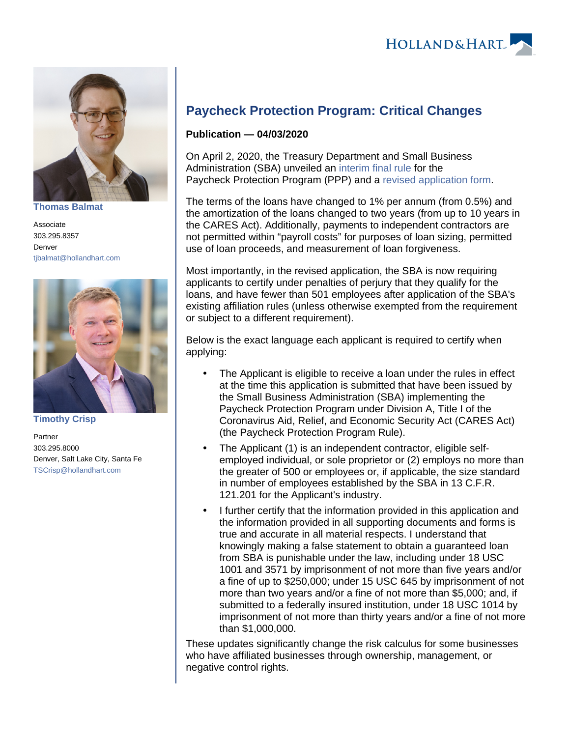

**[Thomas Balmat](https://www.hollandhart.com/37222)**

Associate 303.295.8357 Denver [tjbalmat@hollandhart.com](mailto:tjbalmat@hollandhart.com)



**[Timothy Crisp](https://www.hollandhart.com/35971)**

Partner 303.295.8000 Denver, Salt Lake City, Santa Fe [TSCrisp@hollandhart.com](mailto:TSCrisp@hollandhart.com)

## **Paycheck Protection Program: Critical Changes**

## **Publication — 04/03/2020**

On April 2, 2020, the Treasury Department and Small Business Administration (SBA) unveiled an [interim final rule](https://home.treasury.gov/system/files/136/PPP--IFRN%2520FINAL.pdf) for the Paycheck Protection Program (PPP) and a [revised application form.](https://www.sba.gov/sites/default/files/2020-04/PPP%2520Borrower%2520Application%2520Form.pdf)

The terms of the loans have changed to 1% per annum (from 0.5%) and the amortization of the loans changed to two years (from up to 10 years in the CARES Act). Additionally, payments to independent contractors are not permitted within "payroll costs" for purposes of loan sizing, permitted use of loan proceeds, and measurement of loan forgiveness.

Most importantly, in the revised application, the SBA is now requiring applicants to certify under penalties of perjury that they qualify for the loans, and have fewer than 501 employees after application of the SBA's existing affiliation rules (unless otherwise exempted from the requirement or subject to a different requirement).

Below is the exact language each applicant is required to certify when applying:

- The Applicant is eligible to receive a loan under the rules in effect at the time this application is submitted that have been issued by the Small Business Administration (SBA) implementing the Paycheck Protection Program under Division A, Title I of the Coronavirus Aid, Relief, and Economic Security Act (CARES Act) (the Paycheck Protection Program Rule).
- The Applicant (1) is an independent contractor, eligible selfemployed individual, or sole proprietor or (2) employs no more than the greater of 500 or employees or, if applicable, the size standard in number of employees established by the SBA in 13 C.F.R. 121.201 for the Applicant's industry.
- I further certify that the information provided in this application and the information provided in all supporting documents and forms is true and accurate in all material respects. I understand that knowingly making a false statement to obtain a guaranteed loan from SBA is punishable under the law, including under 18 USC 1001 and 3571 by imprisonment of not more than five years and/or a fine of up to \$250,000; under 15 USC 645 by imprisonment of not more than two years and/or a fine of not more than \$5,000; and, if submitted to a federally insured institution, under 18 USC 1014 by imprisonment of not more than thirty years and/or a fine of not more than \$1,000,000.

These updates significantly change the risk calculus for some businesses who have affiliated businesses through ownership, management, or negative control rights.